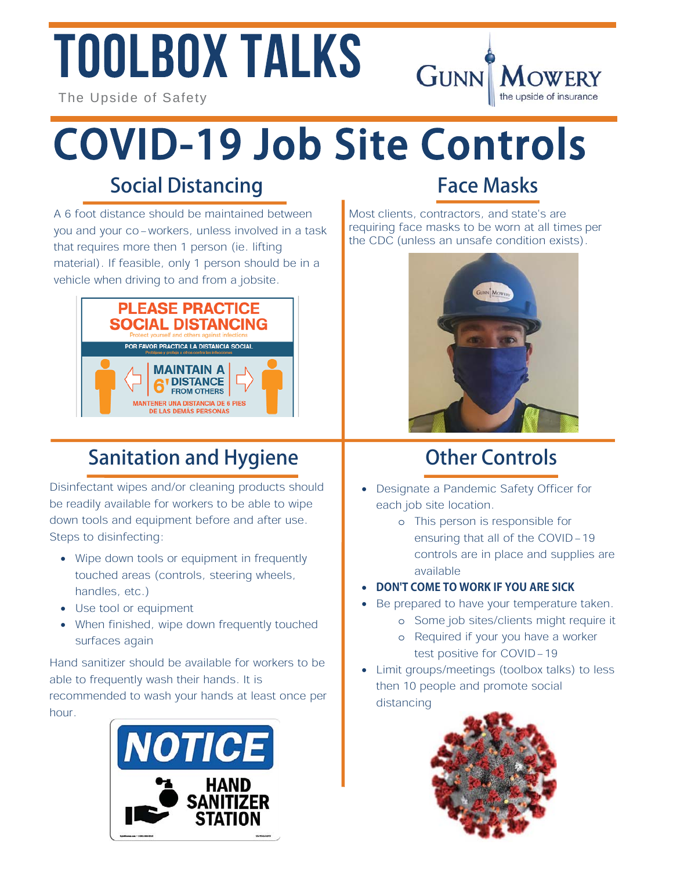# **TOOLBOX TALKS**



### COVID-19 Job Site Controls

#### Social Distancing

A 6 foot distance should be maintained between you and your co-workers, unless involved in a task that requires more then 1 person (ie. lifting material). If feasible, only 1 person should be in a vehicle when driving to and from a jobsite.



#### Sanitation and Hygiene

Disinfectant wipes and/or cleaning products should be readily available for workers to be able to wipe down tools and equipment before and after use. Steps to disinfecting:

- Wipe down tools or equipment in frequently touched areas (controls, steering wheels, handles, etc.)
- Use tool or equipment
- When finished, wipe down frequently touched surfaces again

Hand sanitizer should be available for workers to be able to frequently wash their hands. It is recommended to wash your hands at least once per hour.



#### Face Masks

**GUNN MOWERY** 

the upside of insurance

Most clients, contractors, and state's are requiring face masks to be worn at all times per the CDC (unless an unsafe condition exists).



#### Other Controls

- Designate a Pandemic Safety Officer for each job site location.
	- o This person is responsible for ensuring that all of the COVID-19 controls are in place and supplies are available
- **DON'T COME TO WORK IF YOU ARE SICK**
- Be prepared to have your temperature taken.
	- o Some job sites/clients might require it
	- o Required if your you have a worker test positive for COVID-19
- Limit groups/meetings (toolbox talks) to less then 10 people and promote social distancing

![](_page_0_Picture_24.jpeg)